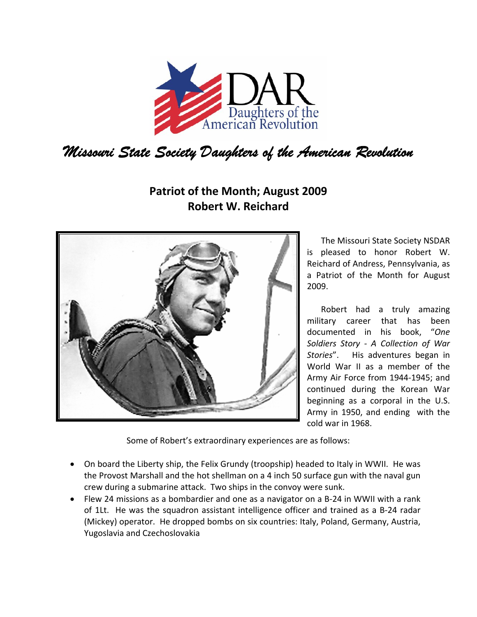

## **Patriot of the Month; August 2009 Robert W. Reichard**



The Missouri State Society NSDAR is pleased to honor Robert W. Reichard of Andress, Pennsylvania, as a Patriot of the Month for August 2009.

Robert had a truly amazing military career that has been documented in his book, "*One Soldiers Story ‐ A Collection of War Stories*". His adventures began in World War II as a member of the Army Air Force from 1944‐1945; and continued during the Korean War beginning as a corporal in the U.S. Army in 1950, and ending with the cold war in 1968.

Some of Robert's extraordinary experiences are as follows:

- On board the Liberty ship, the Felix Grundy (troopship) headed to Italy in WWII. He was the Provost Marshall and the hot shellman on a 4 inch 50 surface gun with the naval gun crew during a submarine attack. Two ships in the convoy were sunk.
- Flew 24 missions as a bombardier and one as a navigator on a B-24 in WWII with a rank of 1Lt. He was the squadron assistant intelligence officer and trained as a B‐24 radar (Mickey) operator. He dropped bombs on six countries: Italy, Poland, Germany, Austria, Yugoslavia and Czechoslovakia